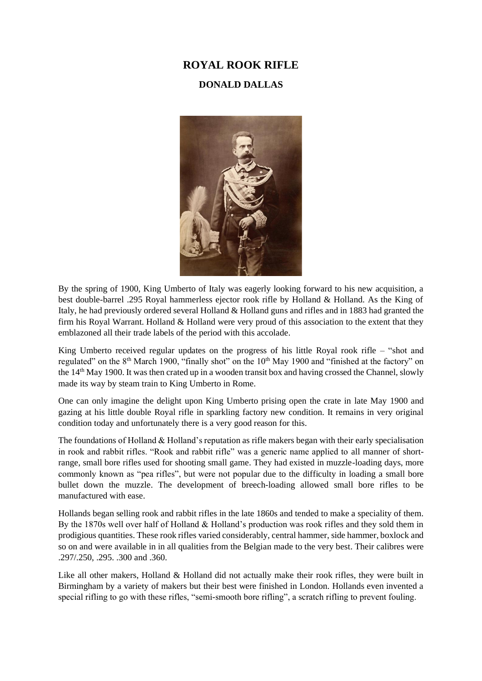## **ROYAL ROOK RIFLE**

## **DONALD DALLAS**



By the spring of 1900, King Umberto of Italy was eagerly looking forward to his new acquisition, a best double-barrel .295 Royal hammerless ejector rook rifle by Holland & Holland. As the King of Italy, he had previously ordered several Holland & Holland guns and rifles and in 1883 had granted the firm his Royal Warrant. Holland & Holland were very proud of this association to the extent that they emblazoned all their trade labels of the period with this accolade.

King Umberto received regular updates on the progress of his little Royal rook rifle – "shot and regulated" on the 8<sup>th</sup> March 1900, "finally shot" on the 10<sup>th</sup> May 1900 and "finished at the factory" on the 14<sup>th</sup> May 1900. It was then crated up in a wooden transit box and having crossed the Channel, slowly made its way by steam train to King Umberto in Rome.

One can only imagine the delight upon King Umberto prising open the crate in late May 1900 and gazing at his little double Royal rifle in sparkling factory new condition. It remains in very original condition today and unfortunately there is a very good reason for this.

The foundations of Holland & Holland's reputation as rifle makers began with their early specialisation in rook and rabbit rifles. "Rook and rabbit rifle" was a generic name applied to all manner of shortrange, small bore rifles used for shooting small game. They had existed in muzzle-loading days, more commonly known as "pea rifles", but were not popular due to the difficulty in loading a small bore bullet down the muzzle. The development of breech-loading allowed small bore rifles to be manufactured with ease.

Hollands began selling rook and rabbit rifles in the late 1860s and tended to make a speciality of them. By the 1870s well over half of Holland & Holland's production was rook rifles and they sold them in prodigious quantities. These rook rifles varied considerably, central hammer, side hammer, boxlock and so on and were available in in all qualities from the Belgian made to the very best. Their calibres were .297/.250, .295. .300 and .360.

Like all other makers, Holland & Holland did not actually make their rook rifles, they were built in Birmingham by a variety of makers but their best were finished in London. Hollands even invented a special rifling to go with these rifles, "semi-smooth bore rifling", a scratch rifling to prevent fouling.